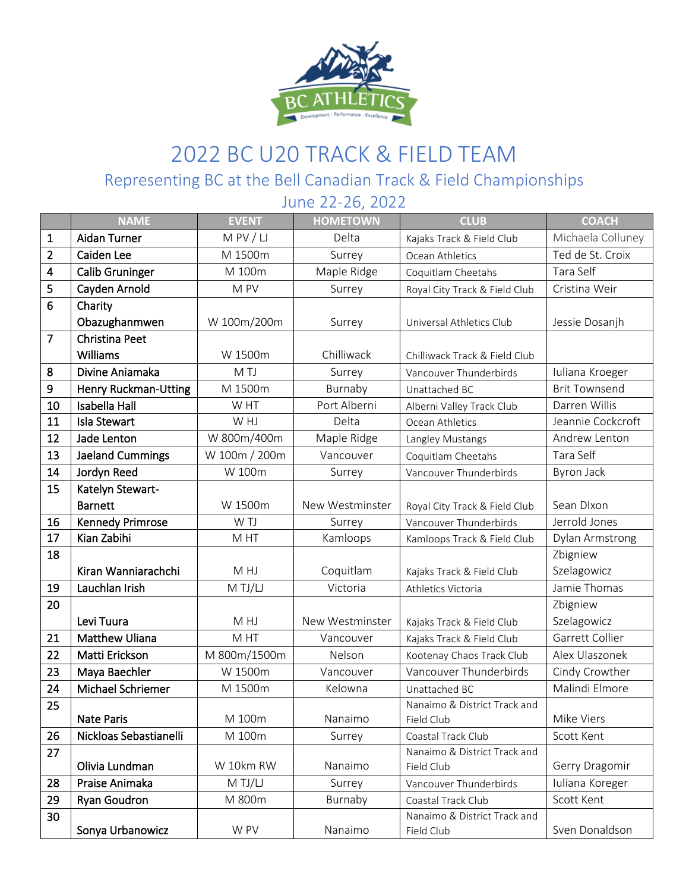

## 2022 BC U20 TRACK & FIELD TEAM Representing BC at the Bell Canadian Track & Field Championships

June 22-26, 2022 **NAME EVENT HOMETOWN CLUB COACH** 1 | Aidan Turner | M PV / LJ | Delta | Kajaks Track & Field Club | Michaela Colluney 2 | Caiden Lee | M 1500m | Surrey | Ocean Athletics | Ted de St. Croix 4 | Calib Gruninger | M 100m | Maple Ridge | Coquitlam Cheetahs | Tara Self 5 Cayden Arnold M PV N Surrey Royal City Track & Field Club Cristina Weir 6 Charity **Obazughanmwen** | W 100m/200m | Surrey | Universal Athletics Club | Jessie Dosanjh 7 Christina Peet Williams **W** 1500m Chilliwack Chilliwack Track & Field Club 8 Divine Aniamaka | M TJ | Surrey | Vancouver Thunderbirds | Iuliana Kroeger 9 **| Henry Ruckman-Utting |** M 1500m **|** Burnaby | Unattached BC | Brit Townsend 10 | Isabella Hall **WHT** | Port Alberni | Alberni Valley Track Club | Darren Willis 11 | Isla Stewart MHJ | Delta | Ocean Athletics | Jeannie Cockcroft 12 **Jade Lenton** | W 800m/400m | Maple Ridge | Langley Mustangs | Andrew Lenton 13 Jaeland Cummings W 100m / 200m | Vancouver | Coquitlam Cheetahs | Tara Self 14 **Jordyn Reed** 1 W 100m **Surrey W** Vancouver Thunderbirds Byron Jack 15 | Katelyn Stewart-Barnett M 1500m New Westminster Royal City Track & Field Club Sean Dixon 16 Kennedy Primrose W TJ Surrey Vancouver Thunderbirds Jerrold Jones 17 | Kian Zabihi Kamloops | Kamloops | Kamloops Track & Field Club | Dylan Armstrong 18 Kiran Wanniarachchi | M HJ | Coquitlam | Kajaks Track & Field Club Zbigniew Szelagowicz 19 Lauchlan Irish M TJ/LJ Victoria Athletics Victoria Jamie Thomas 20 **Levi Tuura M HJ** M HJ New Westminster | Kajaks Track & Field Club Zbigniew Szelagowicz 21 | Matthew Uliana | M HT | Vancouver | Kajaks Track & Field Club | Garrett Collier 22 | Matti Erickson | M 800m/1500m | Nelson | Kootenay Chaos Track Club | Alex Ulaszonek 23 | Maya Baechler | W 1500m | Vancouver | Vancouver Thunderbirds | Cindy Crowther 24 | Michael Schriemer | M 1500m | Kelowna | Unattached BC | Malindi Elmore 25 Nate Paris **Nate Paris And A II** M 100m Nanaimo Nanaimo & District Track and Field Club **Mike Viers** 26 | Nickloas Sebastianelli | M 100m | Surrey | Coastal Track Club | Scott Kent 27 **Olivia Lundman** | W 10km RW | Nanaimo Nanaimo & District Track and Field Club Gerry Dragomir 28 **Praise Animaka** | M TJ/LJ | Surrey | Vancouver Thunderbirds | Iuliana Koreger 29 Ryan Goudron 1 M 800m Burnaby Coastal Track Club Scott Kent 30 Sonya Urbanowicz | W PV | Nanaimo Nanaimo & District Track and Field Club **Sven Donaldson**